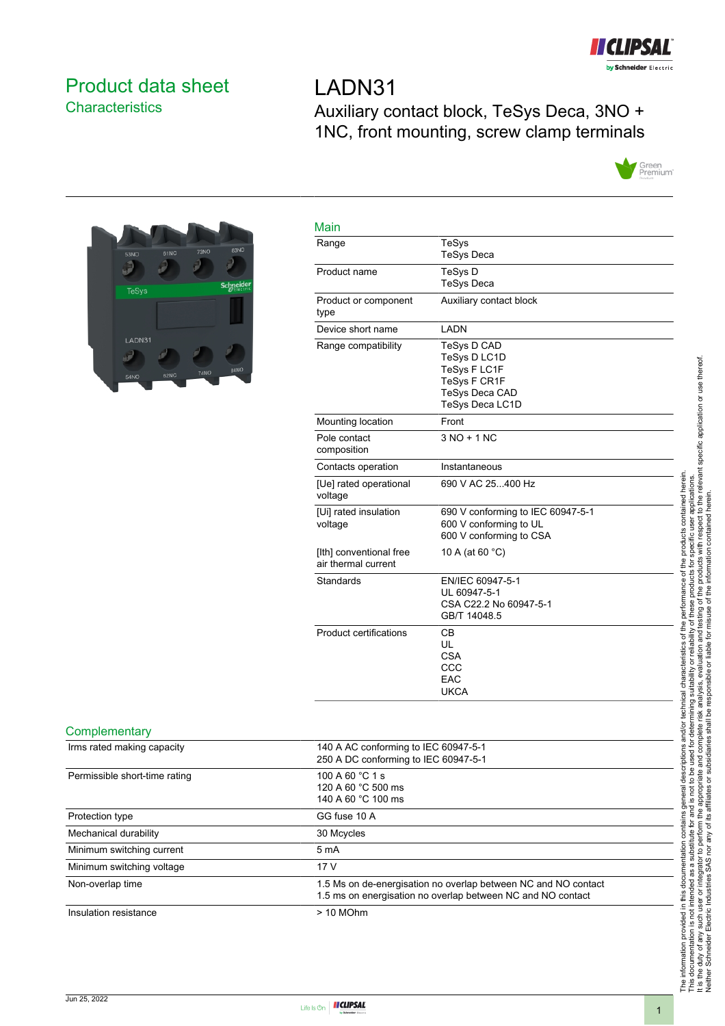

# <span id="page-0-0"></span>Product data sheet **Characteristics**

LADN31 Auxiliary contact block, TeSys Deca, 3NO + 1NC, front mounting, screw clamp terminals





| Main                                           |                                                                                                  |
|------------------------------------------------|--------------------------------------------------------------------------------------------------|
| Range                                          | TeSys<br><b>TeSys Deca</b>                                                                       |
| Product name                                   | TeSys D<br><b>TeSys Deca</b>                                                                     |
| Product or component<br>type                   | Auxiliary contact block                                                                          |
| Device short name                              | <b>LADN</b>                                                                                      |
| Range compatibility                            | TeSys D CAD<br>TeSys D LC1D<br>TeSys F LC1F<br>TeSys F CR1F<br>TeSys Deca CAD<br>TeSys Deca LC1D |
| Mounting location                              | Front                                                                                            |
| Pole contact<br>composition                    | $3 NO + 1 NC$                                                                                    |
| Contacts operation                             | Instantaneous                                                                                    |
| [Ue] rated operational<br>voltage              | 690 V AC 25400 Hz                                                                                |
| [Ui] rated insulation<br>voltage               | 690 V conforming to IEC 60947-5-1<br>600 V conforming to UL<br>600 V conforming to CSA           |
| [Ith] conventional free<br>air thermal current | 10 A (at 60 °C)                                                                                  |
| Standards                                      | EN/IEC 60947-5-1<br>UL 60947-5-1<br>CSA C22.2 No 60947-5-1<br>GB/T 14048.5                       |
| Product certifications                         | CВ<br>UL<br><b>CSA</b><br>CCC<br>EAC<br><b>UKCA</b>                                              |
|                                                |                                                                                                  |

#### **Complementary**

| Irms rated making capacity    | 140 A AC conforming to IEC 60947-5-1<br>250 A DC conforming to IEC 60947-5-1                                                  |
|-------------------------------|-------------------------------------------------------------------------------------------------------------------------------|
| Permissible short-time rating | 100 A 60 °C 1 s<br>120 A 60 °C 500 ms<br>140 A 60 °C 100 ms                                                                   |
| Protection type               | GG fuse 10 A                                                                                                                  |
| Mechanical durability         | 30 Mcycles                                                                                                                    |
| Minimum switching current     | 5 <sub>m</sub> A                                                                                                              |
| Minimum switching voltage     | 17 <sub>V</sub>                                                                                                               |
| Non-overlap time              | 1.5 Ms on de-energisation no overlap between NC and NO contact<br>1.5 ms on energisation no overlap between NC and NO contact |
| Insulation resistance         | $> 10$ MOhm                                                                                                                   |